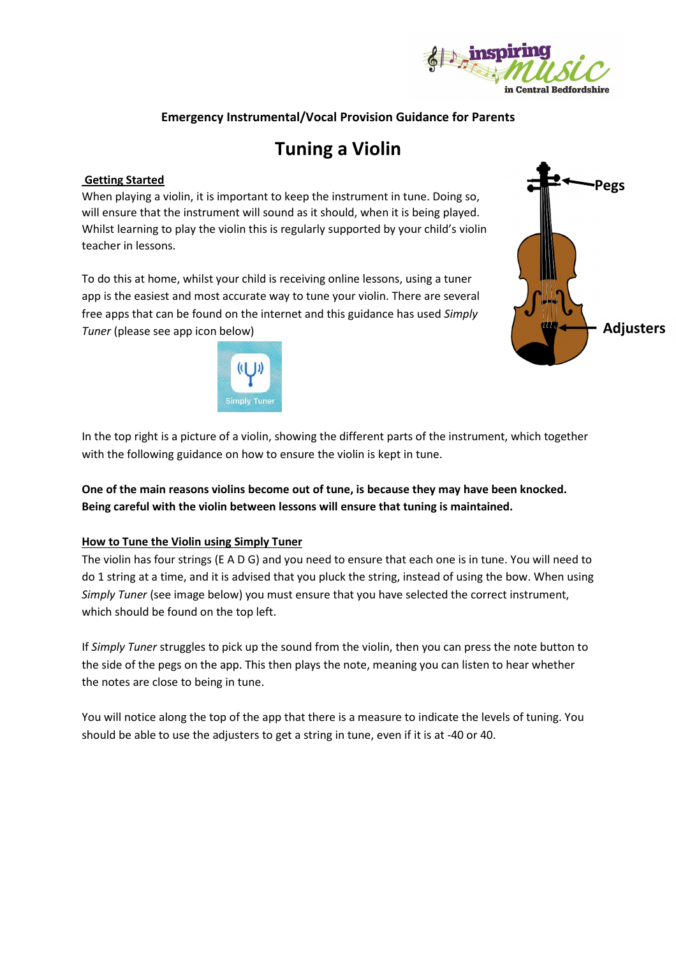

## **Emergency Instrumental/Vocal Provision Guidance for Parents**

# **Tuning a Violin**

#### **Getting Started**

When playing a violin, it is important to keep the instrument in tune. Doing so, will ensure that the instrument will sound as it should, when it is being played. Whilst learning to play the violin this is regularly supported by your child's violin teacher in lessons.

To do this at home, whilst your child is receiving online lessons, using a tuner app is the easiest and most accurate way to tune your violin. There are several free apps that can be found on the internet and this guidance has used *Simply Tuner* (please see app icon below)



**Pegs Adjusters**

In the top right is a picture of a violin, showing the different parts of the instrument, which together with the following guidance on how to ensure the violin is kept in tune.

**One of the main reasons violins become out of tune, is because they may have been knocked. Being careful with the violin between lessons will ensure that tuning is maintained.**

#### **How to Tune the Violin using Simply Tuner**

The violin has four strings (E A D G) and you need to ensure that each one is in tune. You will need to do 1 string at a time, and it is advised that you pluck the string, instead of using the bow. When using *Simply Tuner* (see image below) you must ensure that you have selected the correct instrument, which should be found on the top left.

If *Simply Tuner* struggles to pick up the sound from the violin, then you can press the note button to the side of the pegs on the app. This then plays the note, meaning you can listen to hear whether the notes are close to being in tune.

You will notice along the top of the app that there is a measure to indicate the levels of tuning. You should be able to use the adjusters to get a string in tune, even if it is at -40 or 40.